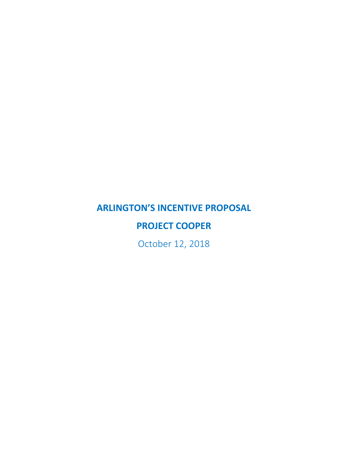# **ARLINGTON'S INCENTIVE PROPOSAL**

## **PROJECT COOPER**

October 12, 2018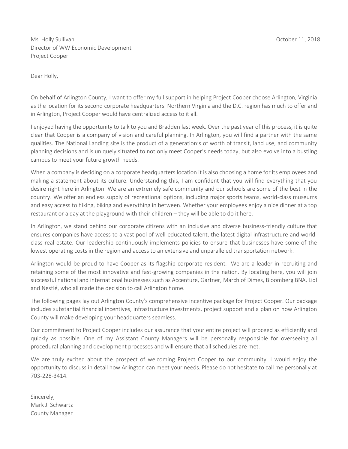Ms. Holly Sullivan October 11, 2018 Director of WW Economic Development Project Cooper

Dear Holly,

On behalf of Arlington County, I want to offer my full support in helping Project Cooper choose Arlington, Virginia as the location for its second corporate headquarters. Northern Virginia and the D.C. region has much to offer and in Arlington, Project Cooper would have centralized access to it all.

I enjoyed having the opportunity to talk to you and Bradden last week. Over the past year of this process, it is quite clear that Cooper is a company of vision and careful planning. In Arlington, you will find a partner with the same qualities. The National Landing site is the product of a generation's of worth of transit, land use, and community planning decisions and is uniquely situated to not only meet Cooper's needs today, but also evolve into a bustling campus to meet your future growth needs.

When a company is deciding on a corporate headquarters location it is also choosing a home for its employees and making a statement about its culture. Understanding this, I am confident that you will find everything that you desire right here in Arlington. We are an extremely safe community and our schools are some of the best in the country. We offer an endless supply of recreational options, including major sports teams, world-class museums and easy access to hiking, biking and everything in between. Whether your employees enjoy a nice dinner at a top restaurant or a day at the playground with their children – they will be able to do it here.

In Arlington, we stand behind our corporate citizens with an inclusive and diverse business-friendly culture that ensures companies have access to a vast pool of well-educated talent, the latest digital infrastructure and worldclass real estate. Our leadership continuously implements policies to ensure that businesses have some of the lowest operating costs in the region and access to an extensive and unparalleled transportation network.

Arlington would be proud to have Cooper as its flagship corporate resident. We are a leader in recruiting and retaining some of the most innovative and fast-growing companies in the nation. By locating here, you will join successful national and international businesses such as Accenture, Gartner, March of Dimes, Bloomberg BNA, Lidl and Nestlé, who all made the decision to call Arlington home.

The following pages lay out Arlington County's comprehensive incentive package for Project Cooper. Our package includes substantial financial incentives, infrastructure investments, project support and a plan on how Arlington County will make developing your headquarters seamless.

Our commitment to Project Cooper includes our assurance that your entire project will proceed as efficiently and quickly as possible. One of my Assistant County Managers will be personally responsible for overseeing all procedural planning and development processes and will ensure that all schedules are met.

We are truly excited about the prospect of welcoming Project Cooper to our community. I would enjoy the opportunity to discuss in detail how Arlington can meet your needs. Please do not hesitate to call me personally at 703-228-3414.

Sincerely, Mark J. Schwartz County Manager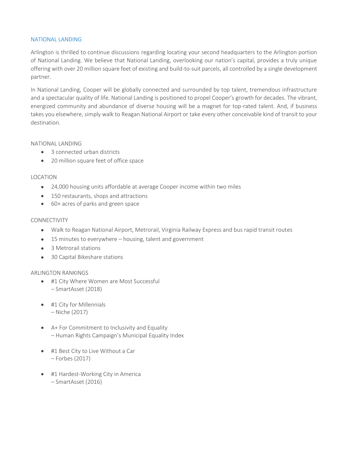#### NATIONAL LANDING

Arlington is thrilled to continue discussions regarding locating your second headquarters to the Arlington portion of National Landing. We believe that National Landing, overlooking our nation's capital, provides a truly unique offering with over 20 million square feet of existing and build-to-suit parcels, all controlled by a single development partner.

In National Landing, Cooper will be globally connected and surrounded by top talent, tremendous infrastructure and a spectacular quality of life. National Landing is positioned to propel Cooper's growth for decades. The vibrant, energized community and abundance of diverse housing will be a magnet for top-rated talent. And, if business takes you elsewhere, simply walk to Reagan National Airport or take every other conceivable kind of transit to your destination.

#### NATIONAL LANDING

- 3 connected urban districts
- 20 million square feet of office space

#### LOCATION

- 24,000 housing units affordable at average Cooper income within two miles
- 150 restaurants, shops and attractions
- 60+ acres of parks and green space

#### CONNECTIVITY

- Walk to Reagan National Airport, Metrorail, Virginia Railway Express and bus rapid transit routes
- 15 minutes to everywhere housing, talent and government
- 3 Metrorail stations
- 30 Capital Bikeshare stations

## ARLINGTON RANKINGS

- #1 City Where Women are Most Successful – SmartAsset (2018)
- #1 City for Millennials – Niche (2017)
- A+ For Commitment to Inclusivity and Equality – Human Rights Campaign's Municipal Equality Index
- #1 Best City to Live Without a Car – Forbes (2017)
- #1 Hardest-Working City in America – SmartAsset (2016)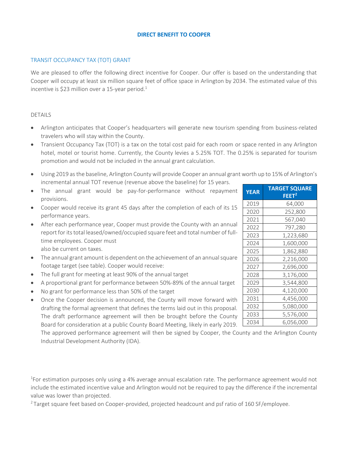## **DIRECT BENEFIT TO COOPER**

#### TRANSIT OCCUPANCY TAX (TOT) GRANT

We are pleased to offer the following direct incentive for Cooper. Our offer is based on the understanding that Cooper will occupy at least six million square feet of office space in Arlington by 2034. The estimated value of this incentive is \$23 million over a 15-year period.<sup>1</sup>

#### DETAILS

- Arlington anticipates that Cooper's headquarters will generate new tourism spending from business-related travelers who will stay within the County.
- Transient Occupancy Tax (TOT) is a tax on the total cost paid for each room or space rented in any Arlington hotel, motel or tourist home. Currently, the County levies a 5.25% TOT. The 0.25% is separated for tourism promotion and would not be included in the annual grant calculation.
- Using 2019 as the baseline, Arlington County will provide Cooper an annual grant worth up to 15% of Arlington's incremental annual TOT revenue (revenue above the baseline) for 15 years.
- The annual grant would be pay-for-performance without repayment provisions.
- Cooper would receive its grant 45 days after the completion of each of its 15 performance years.
- After each performance year, Cooper must provide the County with an annual report for its total leased/owned/occupied square feet and total number of fulltime employees. Cooper must also be current on taxes.
- The annual grant amount is dependent on the achievement of an annual square footage target (see table). Cooper would receive:
- The full grant for meeting at least 90% of the annual target
- A proportional grant for performance between 50%-89% of the annual target
- No grant for performance less than 50% of the target
- Once the Cooper decision is announced, the County will move forward with drafting the formal agreement that defines the terms laid out in this proposal. The draft performance agreement will then be brought before the County Board for consideration at a public County Board Meeting, likely in early 2019.

The approved performance agreement will then be signed by Cooper, the County and the Arlington County Industrial Development Authority (IDA).

<sup>1</sup>For estimation purposes only using a 4% average annual escalation rate. The performance agreement would not include the estimated incentive value and Arlington would not be required to pay the difference if the incremental value was lower than projected.

<sup>2</sup> Target square feet based on Cooper-provided, projected headcount and psf ratio of 160 SF/employee.

| <b>YEAR</b> | <b>TARGET SQUARE</b> |  |  |  |
|-------------|----------------------|--|--|--|
|             | $\mathsf{FEET}^2$    |  |  |  |
| 2019        | 64,000               |  |  |  |
| 2020        | 252,800              |  |  |  |
| 2021        | 567,040              |  |  |  |
| 2022        | 797,280              |  |  |  |
| 2023        | 1,223,680            |  |  |  |
| 2024        | 1,600,000            |  |  |  |
| 2025        | 1,862,880            |  |  |  |
| 2026        | 2,216,000            |  |  |  |
| 2027        | 2,696,000            |  |  |  |
| 2028        | 3,176,000            |  |  |  |
| 2029        | 3,544,800            |  |  |  |
| 2030        | 4,120,000            |  |  |  |
| 2031        | 4,456,000            |  |  |  |
| 2032        | 5,080,000            |  |  |  |
| 2033        | 5,576,000            |  |  |  |
| 2034        | 6,056,000            |  |  |  |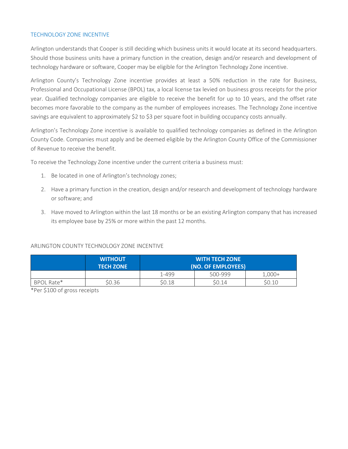## TECHNOLOGY ZONE INCENTIVE

Arlington understands that Cooper is still deciding which business units it would locate at its second headquarters. Should those business units have a primary function in the creation, design and/or research and development of technology hardware or software, Cooper may be eligible for the Arlington Technology Zone incentive.

Arlington County's Technology Zone incentive provides at least a 50% reduction in the rate for Business, Professional and Occupational License (BPOL) tax, a local license tax levied on business gross receipts for the prior year. Qualified technology companies are eligible to receive the benefit for up to 10 years, and the offset rate becomes more favorable to the company as the number of employees increases. The Technology Zone incentive savings are equivalent to approximately \$2 to \$3 per square foot in building occupancy costs annually.

Arlington's Technology Zone incentive is available to qualified technology companies as defined in the Arlington County Code. Companies must apply and be deemed eligible by the Arlington County Office of the Commissioner of Revenue to receive the benefit.

To receive the Technology Zone incentive under the current criteria a business must:

- 1. Be located in one of Arlington's technology zones;
- 2. Have a primary function in the creation, design and/or research and development of technology hardware or software; and
- 3. Have moved to Arlington within the last 18 months or be an existing Arlington company that has increased its employee base by 25% or more within the past 12 months.

## ARLINGTON COUNTY TECHNOLOGY ZONE INCENTIVE

|            | <b>WITHOUT</b><br><b>TECH ZONE</b> | <b>WITH TECH ZONE</b><br>(NO. OF EMPLOYEES) |         |          |  |
|------------|------------------------------------|---------------------------------------------|---------|----------|--|
|            |                                    | 1-499                                       | 500-999 | $1,000+$ |  |
| BPOL Rate* | \$0.36                             | SO.18                                       | SO.14   | \$0.10   |  |

\*Per \$100 of gross receipts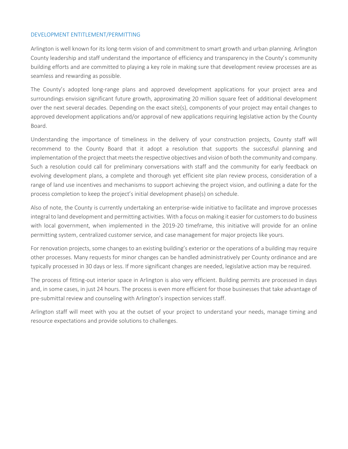## DEVELOPMENT ENTITLEMENT/PERMITTING

Arlington is well known for its long-term vision of and commitment to smart growth and urban planning. Arlington County leadership and staff understand the importance of efficiency and transparency in the County's community building efforts and are committed to playing a key role in making sure that development review processes are as seamless and rewarding as possible.

The County's adopted long-range plans and approved development applications for your project area and surroundings envision significant future growth, approximating 20 million square feet of additional development over the next several decades. Depending on the exact site(s), components of your project may entail changes to approved development applications and/or approval of new applications requiring legislative action by the County Board.

Understanding the importance of timeliness in the delivery of your construction projects, County staff will recommend to the County Board that it adopt a resolution that supports the successful planning and implementation of the project that meets the respective objectives and vision of both the community and company. Such a resolution could call for preliminary conversations with staff and the community for early feedback on evolving development plans, a complete and thorough yet efficient site plan review process, consideration of a range of land use incentives and mechanisms to support achieving the project vision, and outlining a date for the process completion to keep the project's initial development phase(s) on schedule.

Also of note, the County is currently undertaking an enterprise-wide initiative to facilitate and improve processes integral to land development and permitting activities. With a focus on making it easier for customers to do business with local government, when implemented in the 2019-20 timeframe, this initiative will provide for an online permitting system, centralized customer service, and case management for major projects like yours.

For renovation projects, some changes to an existing building's exterior or the operations of a building may require other processes. Many requests for minor changes can be handled administratively per County ordinance and are typically processed in 30 days or less. If more significant changes are needed, legislative action may be required.

The process of fitting-out interior space in Arlington is also very efficient. Building permits are processed in days and, in some cases, in just 24 hours. The process is even more efficient for those businesses that take advantage of pre-submittal review and counseling with Arlington's inspection services staff.

Arlington staff will meet with you at the outset of your project to understand your needs, manage timing and resource expectations and provide solutions to challenges.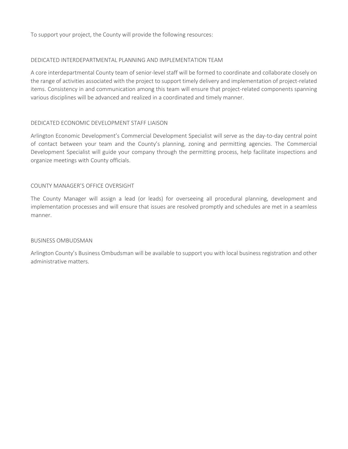To support your project, the County will provide the following resources:

### DEDICATED INTERDEPARTMENTAL PLANNING AND IMPLEMENTATION TEAM

A core interdepartmental County team of senior-level staff will be formed to coordinate and collaborate closely on the range of activities associated with the project to support timely delivery and implementation of project-related items. Consistency in and communication among this team will ensure that project-related components spanning various disciplines will be advanced and realized in a coordinated and timely manner.

## DEDICATED ECONOMIC DEVELOPMENT STAFF LIAISON

Arlington Economic Development's Commercial Development Specialist will serve as the day-to-day central point of contact between your team and the County's planning, zoning and permitting agencies. The Commercial Development Specialist will guide your company through the permitting process, help facilitate inspections and organize meetings with County officials.

#### COUNTY MANAGER'S OFFICE OVERSIGHT

The County Manager will assign a lead (or leads) for overseeing all procedural planning, development and implementation processes and will ensure that issues are resolved promptly and schedules are met in a seamless manner.

#### BUSINESS OMBUDSMAN

Arlington County's Business Ombudsman will be available to support you with local business registration and other administrative matters.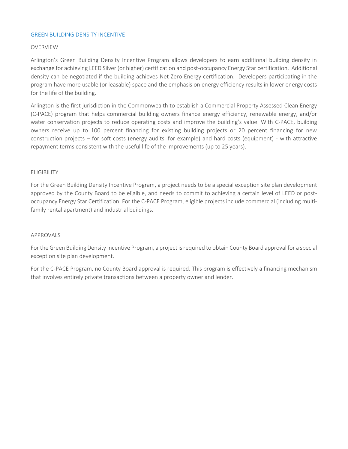## GREEN BUILDING DENSITY INCENTIVE

#### OVERVIEW

Arlington's Green Building Density Incentive Program allows developers to earn additional building density in exchange for achieving LEED Silver (or higher) certification and post-occupancy Energy Star certification. Additional density can be negotiated if the building achieves Net Zero Energy certification. Developers participating in the program have more usable (or leasable) space and the emphasis on energy efficiency results in lower energy costs for the life of the building.

Arlington is the first jurisdiction in the Commonwealth to establish a Commercial Property Assessed Clean Energy (C-PACE) program that helps commercial building owners finance energy efficiency, renewable energy, and/or water conservation projects to reduce operating costs and improve the building's value. With C-PACE, building owners receive up to 100 percent financing for existing building projects or 20 percent financing for new construction projects – for soft costs (energy audits, for example) and hard costs (equipment) - with attractive repayment terms consistent with the useful life of the improvements (up to 25 years).

#### ELIGIBILITY

For the Green Building Density Incentive Program, a project needs to be a special exception site plan development approved by the County Board to be eligible, and needs to commit to achieving a certain level of LEED or postoccupancy Energy Star Certification. For the C-PACE Program, eligible projects include commercial (including multifamily rental apartment) and industrial buildings.

#### APPROVALS

For the Green Building Density Incentive Program, a project is required to obtain County Board approval for a special exception site plan development.

For the C-PACE Program, no County Board approval is required. This program is effectively a financing mechanism that involves entirely private transactions between a property owner and lender.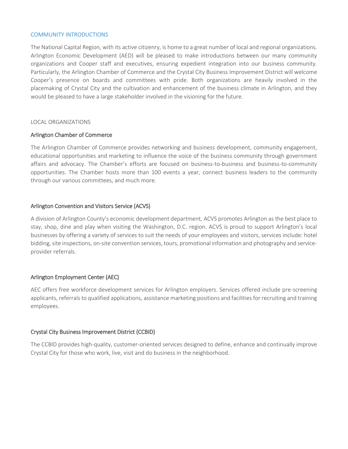#### COMMUNITY INTRODUCTIONS

The National Capital Region, with its active citizenry, is home to a great number of local and regional organizations. Arlington Economic Development (AED) will be pleased to make introductions between our many community organizations and Cooper staff and executives, ensuring expedient integration into our business community. Particularly, the Arlington Chamber of Commerce and the Crystal City Business Improvement District will welcome Cooper's presence on boards and committees with pride. Both organizations are heavily involved in the placemaking of Crystal City and the cultivation and enhancement of the business climate in Arlington, and they would be pleased to have a large stakeholder involved in the visioning for the future.

#### LOCAL ORGANIZATIONS

#### Arlington Chamber of Commerce

The Arlington Chamber of Commerce provides networking and business development, community engagement, educational opportunities and marketing to influence the voice of the business community through government affairs and advocacy. The Chamber's efforts are focused on business-to-business and business-to-community opportunities. The Chamber hosts more than 100 events a year, connect business leaders to the community through our various committees, and much more.

## Arlington Convention and Visitors Service (ACVS)

A division of Arlington County's economic development department, ACVS promotes Arlington as the best place to stay, shop, dine and play when visiting the Washington, D.C. region. ACVS is proud to support Arlington's local businesses by offering a variety of services to suit the needs of your employees and visitors, services include: hotel bidding, site inspections, on-site convention services, tours, promotional information and photography and serviceprovider referrals.

## Arlington Employment Center (AEC)

AEC offers free workforce development services for Arlington employers. Services offered include pre-screening applicants, referrals to qualified applications, assistance marketing positions and facilities for recruiting and training employees.

## Crystal City Business Improvement District (CCBID)

The CCBID provides high-quality, customer-oriented services designed to define, enhance and continually improve Crystal City for those who work, live, visit and do business in the neighborhood.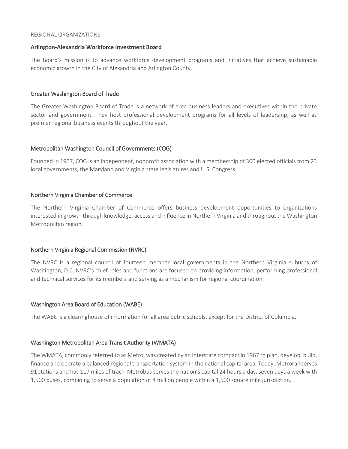#### REGIONAL ORGANIZATIONS

#### **Arlington-Alexandria Workforce Investment Board**

The Board's mission is to advance workforce development programs and initiatives that achieve sustainable economic growth in the City of Alexandria and Arlington County.

## Greater Washington Board of Trade

The Greater Washington Board of Trade is a network of area business leaders and executives within the private sector and government. They host professional development programs for all levels of leadership, as well as premier regional business events throughout the year.

## Metropolitan Washington Council of Governments (COG)

Founded in 1957, COG is an independent, nonprofit association with a membership of 300 elected officials from 23 local governments, the Maryland and Virginia state legislatures and U.S. Congress.

## Northern Virginia Chamber of Commerce

The Northern Virginia Chamber of Commerce offers business development opportunities to organizations interested in growth through knowledge, access and influence in Northern Virginia and throughout the Washington Metropolitan region.

## Northern Virginia Regional Commission (NVRC)

The NVRC is a regional council of fourteen member local governments in the Northern Virginia suburbs of Washington, D.C. NVRC's chief roles and functions are focused on providing information, performing professional and technical services for its members and serving as a mechanism for regional coordination.

## Washington Area Board of Education (WABE)

The WABE is a clearinghouse of information for all area public schools, except for the District of Columbia.

## Washington Metropolitan Area Transit Authority (WMATA)

The WMATA, commonly referred to as Metro, was created by an interstate compact in 1967 to plan, develop, build, finance and operate a balanced regional transportation system in the national capital area. Today, Metrorail serves 91 stations and has 117 miles of track. Metrobus serves the nation's capital 24 hours a day, seven days a week with 1,500 buses, combining to serve a population of 4 million people within a 1,500 square mile jurisdiction.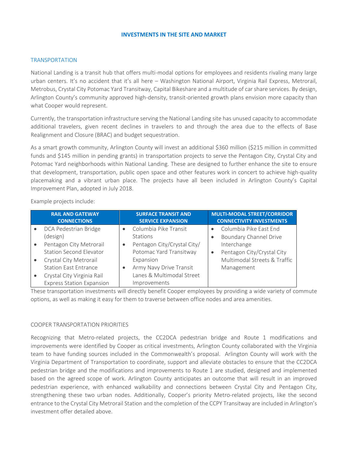#### **INVESTMENTS IN THE SITE AND MARKET**

#### TRANSPORTATION

National Landing is a transit hub that offers multi-modal options for employees and residents rivaling many large urban centers. It's no accident that it's all here – Washington National Airport, Virginia Rail Express, Metrorail, Metrobus, Crystal City Potomac Yard Transitway, Capital Bikeshare and a multitude of car share services. By design, Arlington County's community approved high-density, transit-oriented growth plans envision more capacity than what Cooper would represent.

Currently, the transportation infrastructure serving the National Landing site has unused capacity to accommodate additional travelers, given recent declines in travelers to and through the area due to the effects of Base Realignment and Closure (BRAC) and budget sequestration.

As a smart growth community, Arlington County will invest an additional \$360 million (\$215 million in committed funds and \$145 million in pending grants) in transportation projects to serve the Pentagon City, Crystal City and Potomac Yard neighborhoods within National Landing. These are designed to further enhance the site to ensure that development, transportation, public open space and other features work in concert to achieve high-quality placemaking and a vibrant urban place. The projects have all been included in Arlington County's Capital Improvement Plan, adopted in July 2018.

Example projects include:

| <b>RAIL AND GATEWAY</b><br><b>CONNECTIONS</b> |           | <b>SURFACE TRANSIT AND</b><br><b>SERVICE EXPANSION</b> | <b>MULTI-MODAL STREET/CORRIDOR</b><br><b>CONNECTIVITY INVESTMENTS</b> |
|-----------------------------------------------|-----------|--------------------------------------------------------|-----------------------------------------------------------------------|
| DCA Pedestrian Bridge                         |           | Columbia Pike Transit                                  | Columbia Pike East End                                                |
| (design)                                      |           | Stations                                               | <b>Boundary Channel Drive</b>                                         |
| Pentagon City Metrorail                       |           | Pentagon City/Crystal City/                            | Interchange                                                           |
| <b>Station Second Elevator</b>                |           | Potomac Yard Transitway                                | Pentagon City/Crystal City                                            |
| Crystal City Metrorail                        |           | Expansion                                              | Multimodal Streets & Traffic                                          |
| <b>Station East Entrance</b>                  | $\bullet$ | Army Navy Drive Transit                                | Management                                                            |
| Crystal City Virginia Rail                    |           | Lanes & Multimodal Street                              |                                                                       |
| <b>Express Station Expansion</b>              |           | Improvements                                           |                                                                       |

These transportation investments will directly benefit Cooper employees by providing a wide variety of commute options, as well as making it easy for them to traverse between office nodes and area amenities.

#### COOPER TRANSPORTATION PRIORITIES

Recognizing that Metro-related projects, the CC2DCA pedestrian bridge and Route 1 modifications and improvements were identified by Cooper as critical investments, Arlington County collaborated with the Virginia team to have funding sources included in the Commonwealth's proposal. Arlington County will work with the Virginia Department of Transportation to coordinate, support and alleviate obstacles to ensure that the CC2DCA pedestrian bridge and the modifications and improvements to Route 1 are studied, designed and implemented based on the agreed scope of work. Arlington County anticipates an outcome that will result in an improved pedestrian experience, with enhanced walkability and connections between Crystal City and Pentagon City, strengthening these two urban nodes. Additionally, Cooper's priority Metro-related projects, like the second entrance to the Crystal City Metrorail Station and the completion of the CCPY Transitway are included in Arlington's investment offer detailed above.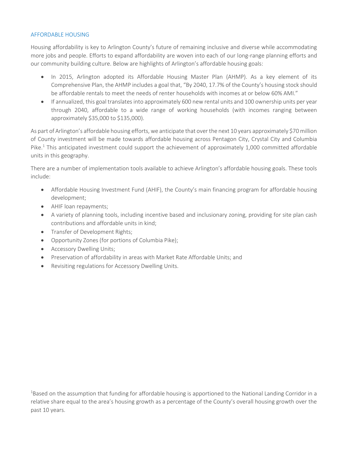## AFFORDABLE HOUSING

Housing affordability is key to Arlington County's future of remaining inclusive and diverse while accommodating more jobs and people. Efforts to expand affordability are woven into each of our long-range planning efforts and our community building culture. Below are highlights of Arlington's affordable housing goals:

- In 2015, Arlington adopted its Affordable Housing Master Plan (AHMP). As a key element of its Comprehensive Plan, the AHMP includes a goal that, "By 2040, 17.7% of the County's housing stock should be affordable rentals to meet the needs of renter households with incomes at or below 60% AMI."
- If annualized, this goal translates into approximately 600 new rental units and 100 ownership units per year through 2040, affordable to a wide range of working households (with incomes ranging between approximately \$35,000 to \$135,000).

As part of Arlington's affordable housing efforts, we anticipate that over the next 10 years approximately \$70 million of County investment will be made towards affordable housing across Pentagon City, Crystal City and Columbia Pike.<sup>1</sup> This anticipated investment could support the achievement of approximately 1,000 committed affordable units in this geography.

There are a number of implementation tools available to achieve Arlington's affordable housing goals. These tools include:

- Affordable Housing Investment Fund (AHIF), the County's main financing program for affordable housing development;
- AHIF loan repayments;
- A variety of planning tools, including incentive based and inclusionary zoning, providing for site plan cash contributions and affordable units in kind;
- Transfer of Development Rights;
- Opportunity Zones (for portions of Columbia Pike);
- Accessory Dwelling Units;
- Preservation of affordability in areas with Market Rate Affordable Units; and
- Revisiting regulations for Accessory Dwelling Units.

<sup>1</sup>Based on the assumption that funding for affordable housing is apportioned to the National Landing Corridor in a relative share equal to the area's housing growth as a percentage of the County's overall housing growth over the past 10 years.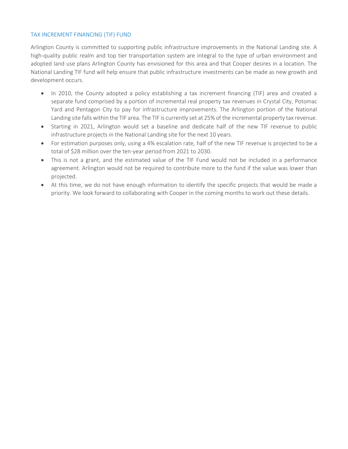## TAX INCREMENT FINANCING (TIF) FUND

Arlington County is committed to supporting public infrastructure improvements in the National Landing site. A high-quality public realm and top tier transportation system are integral to the type of urban environment and adopted land use plans Arlington County has envisioned for this area and that Cooper desires in a location. The National Landing TIF fund will help ensure that public infrastructure investments can be made as new growth and development occurs.

- In 2010, the County adopted a policy establishing a tax increment financing (TIF) area and created a separate fund comprised by a portion of incremental real property tax revenues in Crystal City, Potomac Yard and Pentagon City to pay for infrastructure improvements. The Arlington portion of the National Landing site falls within the TIF area. The TIF is currently set at 25% of the incremental property tax revenue.
- Starting in 2021, Arlington would set a baseline and dedicate half of the new TIF revenue to public infrastructure projects in the National Landing site for the next 10 years.
- For estimation purposes only, using a 4% escalation rate, half of the new TIF revenue is projected to be a total of \$28 million over the ten-year period from 2021 to 2030.
- This is not a grant, and the estimated value of the TIF Fund would not be included in a performance agreement. Arlington would not be required to contribute more to the fund if the value was lower than projected.
- At this time, we do not have enough information to identify the specific projects that would be made a priority. We look forward to collaborating with Cooper in the coming months to work out these details.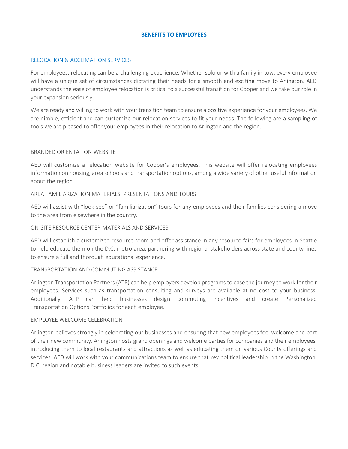## **BENEFITS TO EMPLOYEES**

#### RELOCATION & ACCLIMATION SERVICES

For employees, relocating can be a challenging experience. Whether solo or with a family in tow, every employee will have a unique set of circumstances dictating their needs for a smooth and exciting move to Arlington. AED understands the ease of employee relocation is critical to a successful transition for Cooper and we take our role in your expansion seriously.

We are ready and willing to work with your transition team to ensure a positive experience for your employees. We are nimble, efficient and can customize our relocation services to fit your needs. The following are a sampling of tools we are pleased to offer your employees in their relocation to Arlington and the region.

#### BRANDED ORIENTATION WEBSITE

AED will customize a relocation website for Cooper's employees. This website will offer relocating employees information on housing, area schools and transportation options, among a wide variety of other useful information about the region.

#### AREA FAMILIARIZATION MATERIALS, PRESENTATIONS AND TOURS

AED will assist with "look-see" or "familiarization" tours for any employees and their families considering a move to the area from elsewhere in the country.

### ON-SITE RESOURCE CENTER MATERIALS AND SERVICES

AED will establish a customized resource room and offer assistance in any resource fairs for employees in Seattle to help educate them on the D.C. metro area, partnering with regional stakeholders across state and county lines to ensure a full and thorough educational experience.

## TRANSPORTATION AND COMMUTING ASSISTANCE

Arlington Transportation Partners (ATP) can help employers develop programs to ease the journey to work for their employees. Services such as transportation consulting and surveys are available at no cost to your business. Additionally, ATP can help businesses design commuting incentives and create Personalized Transportation Options Portfolios for each employee.

#### EMPLOYEE WELCOME CELEBRATION

Arlington believes strongly in celebrating our businesses and ensuring that new employees feel welcome and part of their new community. Arlington hosts grand openings and welcome parties for companies and their employees, introducing them to local restaurants and attractions as well as educating them on various County offerings and services. AED will work with your communications team to ensure that key political leadership in the Washington, D.C. region and notable business leaders are invited to such events.